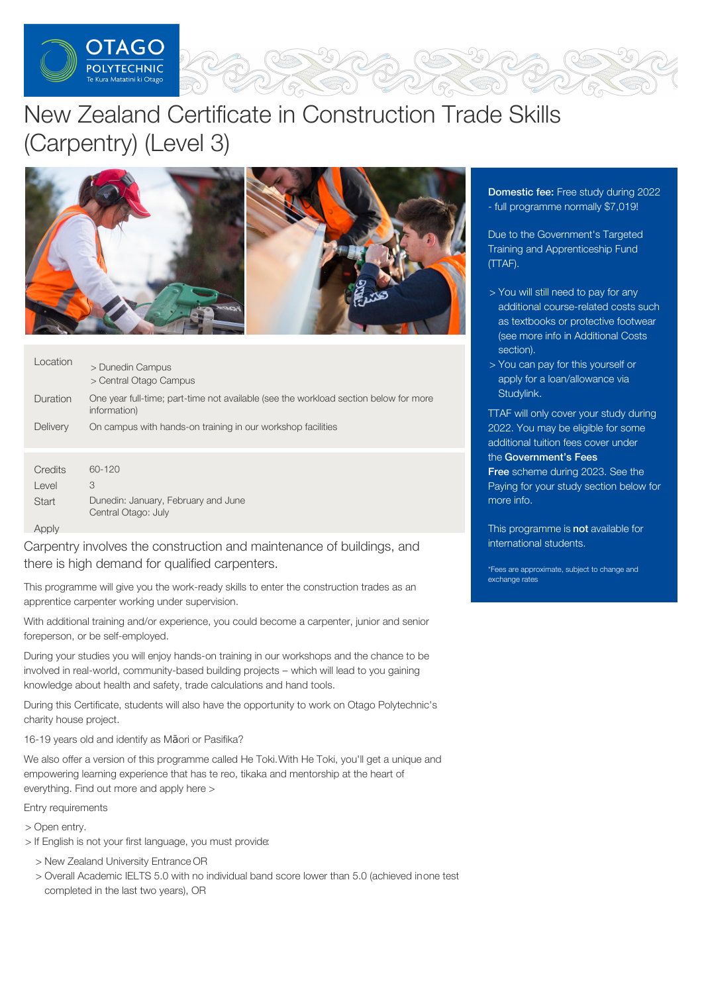

# New Zealand Certificate in Construction Trade Skills (Carpentry) (Level 3)



| Location | > Dunedin Campus<br>> Central Otago Campus                                                           |
|----------|------------------------------------------------------------------------------------------------------|
| Duration | One year full-time; part-time not available (see the workload section below for more<br>information) |
| Delivery | On campus with hands-on training in our workshop facilities                                          |
|          |                                                                                                      |
| Credits  | 60-120                                                                                               |
| Level    | 3                                                                                                    |

Apply

**Start** 

Carpentry involves the construction and maintenance of buildings, and there is high demand for qualified carpenters.

Dunedin: January, February and June

Central Otago: July

This programme will give you the work-ready skills to enter the construction trades as an apprentice carpenter working under supervision.

With additional training and/or experience, you could become a carpenter, junior and senior foreperson, or be self-employed.

During your studies you will enjoy hands-on training in our workshops and the chance to be involved in real-world, community-based building projects – which will lead to you gaining knowledge about health and safety, trade calculations and hand tools.

During this Certificate, students will also have the opportunity to work on Otago Polytechnic's charity house project.

16-19 years old and identify as Māori or Pasifika?

We also offer a version of this programme called He Toki. With He Toki, you'll get a unique and empowering learning experience that has te reo, tikaka and mentorship at the heart of everything. Find out more and apply here >

Entry requirements

> Open entry.

- > If English is not your first language, you must provide:
	- > New Zealand University Entrance OR
	- > Overall Academic IELTS 5.0 with no individual band score lower than 5.0 (achieved inone test completed in the last two years), OR

**Domestic fee: Free study during 2022** - full programme normally \$7,019!

Due to the Government's Targeted Training and Apprenticeship Fund (TTAF).

- > You will still need to pay for any additional course-related costs such as textbooks or protective footwear (see more info in Additional Costs section).
- > You can pay for this yourself or apply for a loan/allowance via [Studylink](https://www.studylink.govt.nz/).

TTAF will only cover your study during 2022. You may be eligible for some additional tuition fees cover under the [Government's](https://www.feesfree.govt.nz/) Fees

Free scheme during 2023. See the Paying for your study section below for more info.

This programme is not available for international students.

\*Fees are approximate, subject to change and exchange rates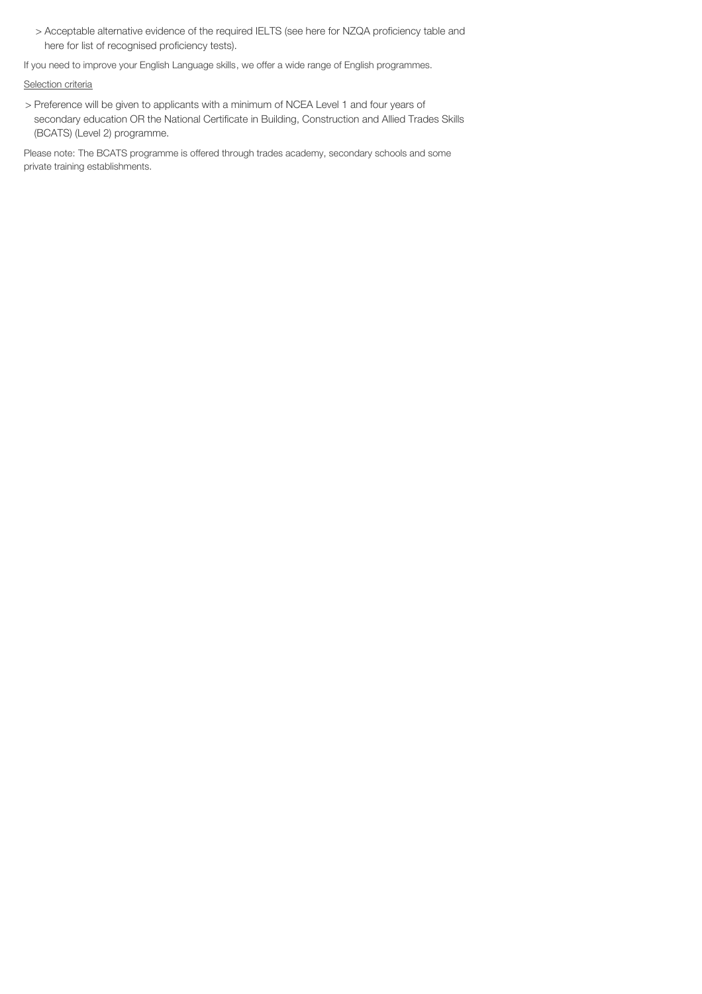> Acceptable alternative evidence of the required IELTS (see here for NZQA proficiency table and here for list of recognised proficiency tests).

If you need to improve your English Language skills, we offer a wide range of English programmes.

## Selection criteria

> Preference will be given to applicants with a minimum of NCEA Level 1 and four years of secondary education OR the National Certificate in Building, Construction and Allied Trades Skills (BCATS) (Level 2) programme.

Please note: The BCATS programme is offered through trades academy, secondary schools and some private training establishments.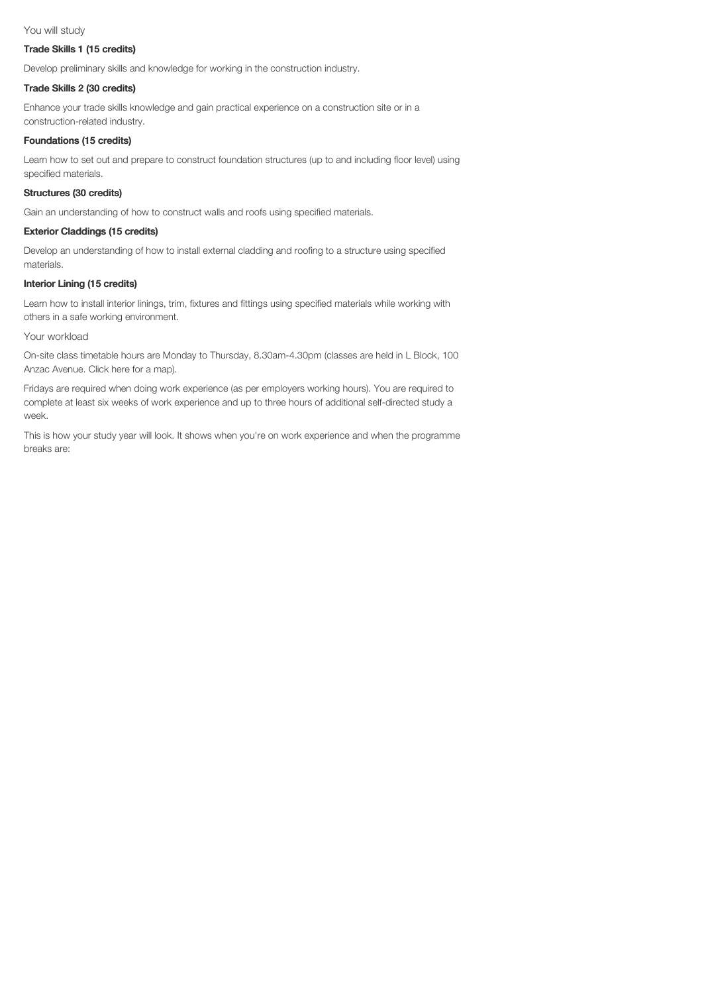### You will study

#### Trade Skills 1 (15 credits)

Develop preliminary skills and knowledge for working in the construction industry.

## Trade Skills 2 (30 credits)

Enhance your trade skills knowledge and gain practical experience on a construction site or in a construction-related industry.

## Foundations (15 credits)

Learn how to set out and prepare to construct foundation structures (up to and including floor level) using specified materials.

## Structures (30 credits)

Gain an understanding of how to construct walls and roofs using specified materials.

## Exterior Claddings (15 credits)

Develop an understanding of how to install external cladding and roofing to a structure using specified materials.

## Interior Lining (15 credits)

Learn how to install interior linings, trim, fixtures and fittings using specified materials while working with others in a safe working environment.

#### Your workload

On-site class timetable hours are Monday to Thursday, 8.30am-4.30pm (classes are held in L Block, 100 Anzac Avenue. Click here for a map).

Fridays are required when doing work experience (as per employers working hours). You are required to complete at least six weeks of work experience and up to three hours of additional self-directed study a week.

This is how your study year will look. It shows when you're on work experience and when the programme breaks are: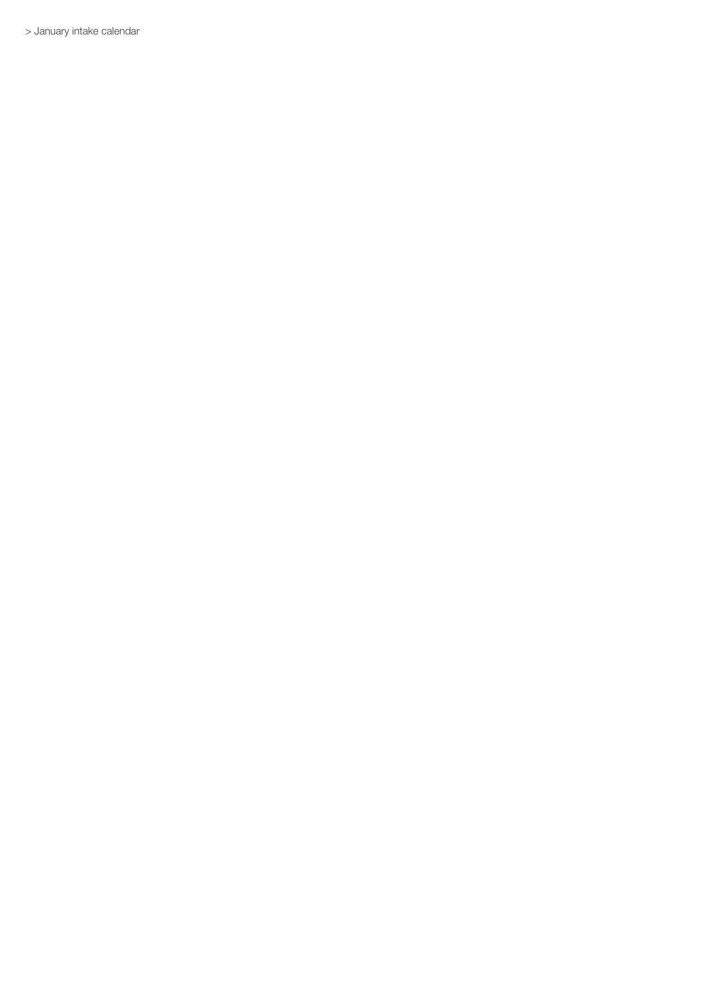> January intake calendar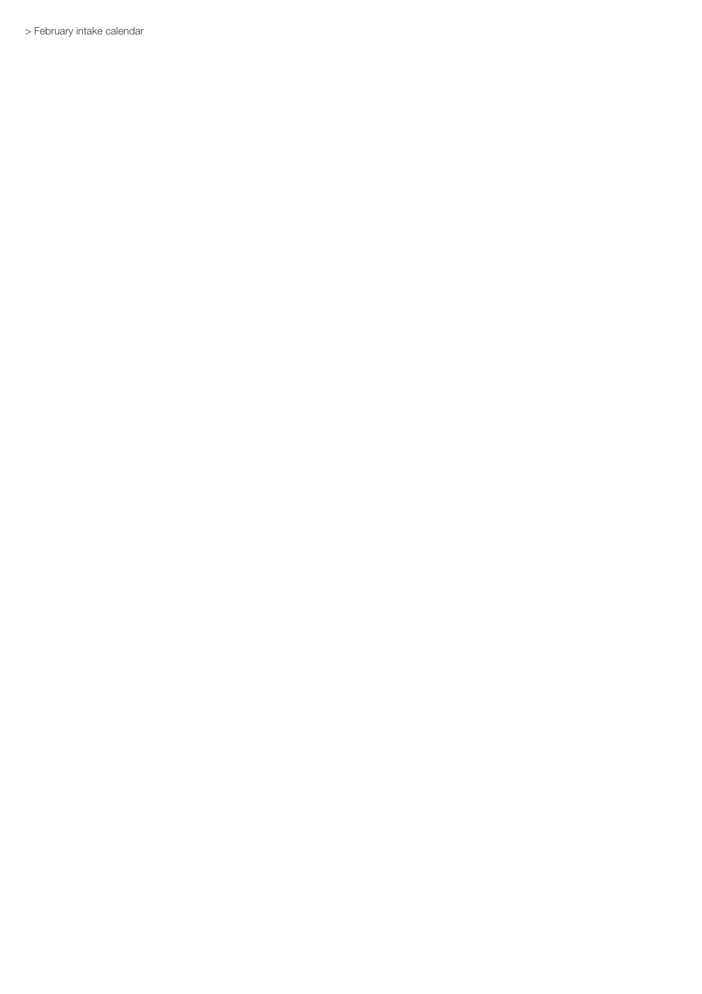> February intake calendar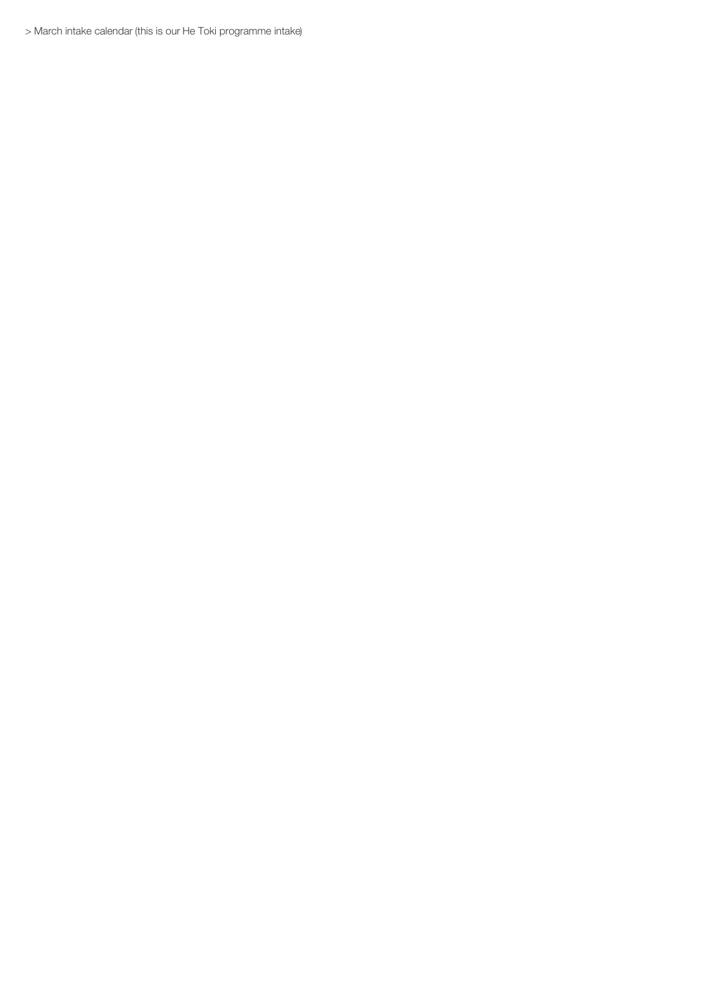> March intake calendar (this is our He Toki programme intake)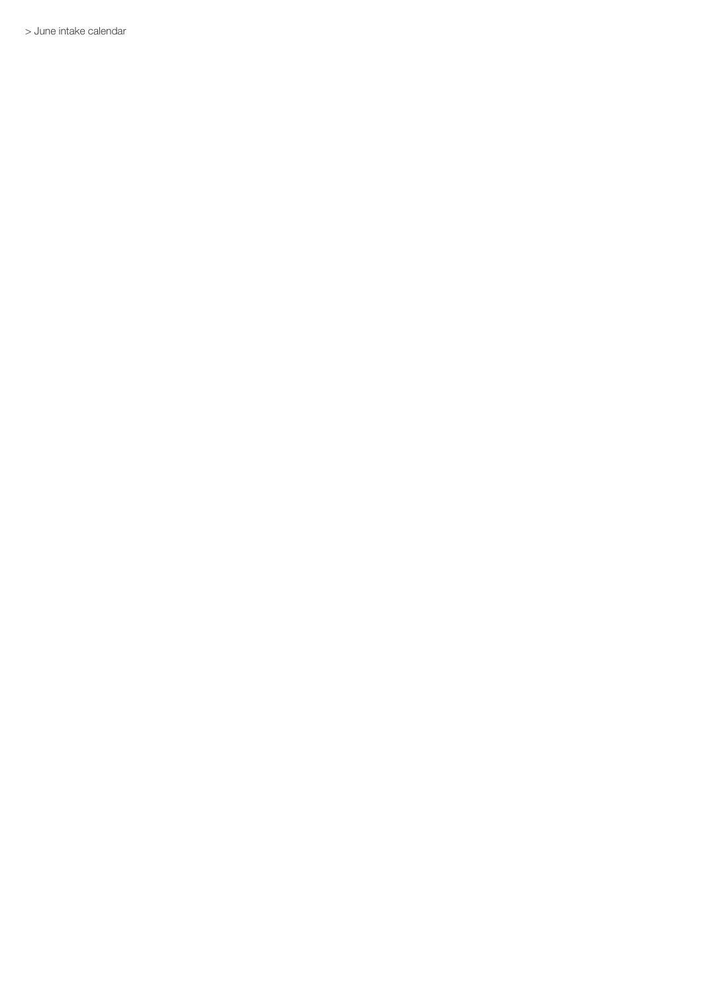> June intake calendar